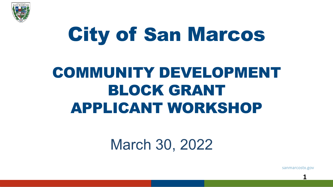

# City of San Marcos

## COMMUNITY DEVELOPMENT BLOCK GRANT APPLICANT WORKSHOP

### March 30, 2022

sanmarcostx.gov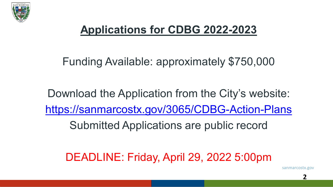

#### **Applications for CDBG 2022-2023**

#### Funding Available: approximately \$750,000

Download the Application from the City's website: <https://sanmarcostx.gov/3065/CDBG-Action-Plans>

Submitted Applications are public record

DEADLINE: Friday, April 29, 2022 5:00pm

sanmarcostx.gov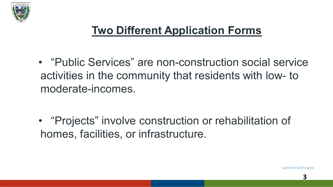

#### **Two Different Application Forms**

• "Public Services" are non-construction social service activities in the community that residents with low- to moderate-incomes.

• "Projects" involve construction or rehabilitation of homes, facilities, or infrastructure.

sanmarcostx.gov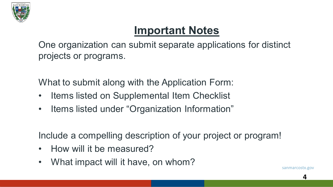

#### **Important Notes**

One organization can submit separate applications for distinct projects or programs.

What to submit along with the Application Form:

- Items listed on Supplemental Item Checklist
- Items listed under "Organization Information"

Include a compelling description of your project or program!

- How will it be measured?
- What impact will it have, on whom?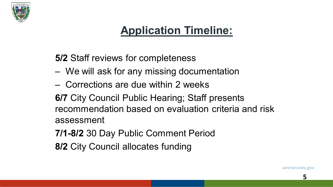

#### **Application Timeline:**

**5/2** Staff reviews for completeness

- We will ask for any missing documentation
- Corrections are due within 2 weeks

**6/7** City Council Public Hearing; Staff presents recommendation based on evaluation criteria and risk assessment

**7/1-8/2** 30 Day Public Comment Period

**8/2** City Council allocates funding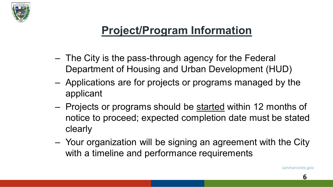

#### **Project/Program Information**

- The City is the pass-through agency for the Federal Department of Housing and Urban Development (HUD)
- Applications are for projects or programs managed by the applicant
- Projects or programs should be started within 12 months of notice to proceed; expected completion date must be stated clearly
- Your organization will be signing an agreement with the City with a timeline and performance requirements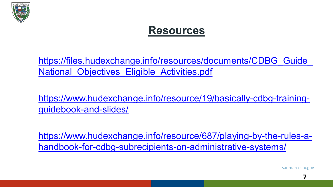

#### **Resources**

https://files.hudexchange.info/resources/documents/CDBG\_Guide National\_Objectives\_Eligible\_Activities.pdf

[https://www.hudexchange.info/resource/19/basically-cdbg-training](https://www.hudexchange.info/resource/19/basically-cdbg-training-guidebook-and-slides/)guidebook-and-slides/

[https://www.hudexchange.info/resource/687/playing-by-the-rules-a](https://www.hudexchange.info/resource/687/playing-by-the-rules-a-handbook-for-cdbg-subrecipients-on-administrative-systems/)handbook-for-cdbg-subrecipients-on-administrative-systems/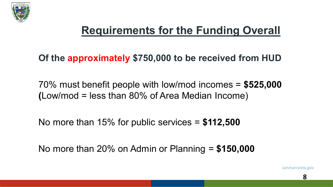

#### **Requirements for the Funding Overall**

**Of the approximately \$750,000 to be received from HUD**

70% must benefit people with low/mod incomes = **\$525,000 (**Low/mod = less than 80% of Area Median Income)

No more than 15% for public services = **\$112,500**

No more than 20% on Admin or Planning = **\$150,000**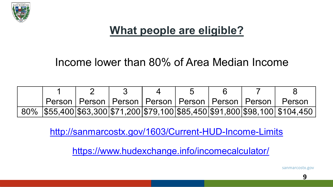

#### **What people are eligible?**

#### Income lower than 80% of Area Median Income

|  |  |  |  | Person   Person   Person   Person   Person   Person   Person   Person          |
|--|--|--|--|--------------------------------------------------------------------------------|
|  |  |  |  | 80%  \$55,400 \$63,300 \$71,200 \$79,100 \$85,450 \$91,800 \$98,100  \$104,450 |

<http://sanmarcostx.gov/1603/Current-HUD-Income-Limits>

<https://www.hudexchange.info/incomecalculator/>

sanmarcostx.gov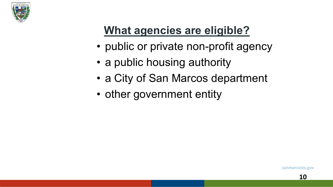

#### **What agencies are eligible?**

- public or private non-profit agency
- a public housing authority
- a City of San Marcos department
- other government entity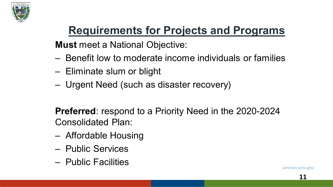

#### **Requirements for Projects and Programs**

**Must** meet a National Objective:

- Benefit low to moderate income individuals or families
- Eliminate slum or blight
- Urgent Need (such as disaster recovery)

**Preferred**: respond to a Priority Need in the 2020-2024 Consolidated Plan:

- Affordable Housing
- Public Services
- Public Facilities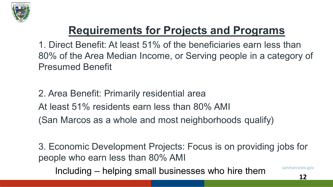

#### **Requirements for Projects and Programs**

1. Direct Benefit: At least 51% of the beneficiaries earn less than 80% of the Area Median Income, or Serving people in a category of Presumed Benefit

2. Area Benefit: Primarily residential area At least 51% residents earn less than 80% AMI (San Marcos as a whole and most neighborhoods qualify)

3. Economic Development Projects: Focus is on providing jobs for people who earn less than 80% AMI

Including – helping small businesses who hire them

sanmarcostx.gov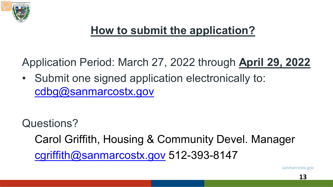

#### **How to submit the application?**

Application Period: March 27, 2022 through **April 29, 2022**

• Submit one signed application electronically to: cdbg@sanmarcostx.gov

Questions?

Carol Griffith, Housing & Community Devel. Manager [cgriffith@sanmarcostx.gov](mailto:cgriffith@sanmarcostx.gov) 512-393-8147

sanmarcostx.gov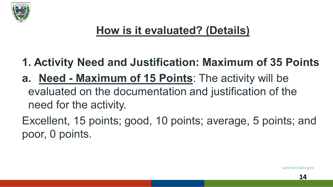

- **1. Activity Need and Justification: Maximum of 35 Points**
- **a. Need - Maximum of 15 Points**: The activity will be evaluated on the documentation and justification of the need for the activity.

Excellent, 15 points; good, 10 points; average, 5 points; and poor, 0 points.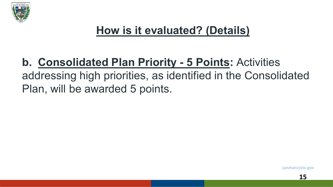

#### **b. Consolidated Plan Priority - 5 Points:** Activities addressing high priorities, as identified in the Consolidated Plan, will be awarded 5 points.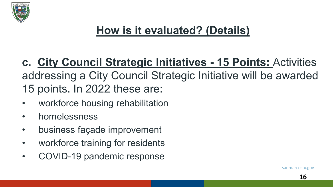

**c. City Council Strategic Initiatives - 15 Points:** Activities addressing a City Council Strategic Initiative will be awarded 15 points. In 2022 these are:

- workforce housing rehabilitation
- homelessness
- business façade improvement
- workforce training for residents
- COVID-19 pandemic response

sanmarcostx.gov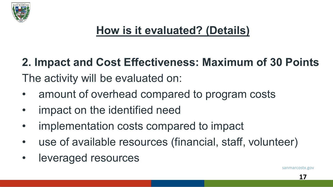

**2. Impact and Cost Effectiveness: Maximum of 30 Points** The activity will be evaluated on:

- amount of overhead compared to program costs
- impact on the identified need
- implementation costs compared to impact
- use of available resources (financial, staff, volunteer)
- leveraged resources

sanmarcostx.gov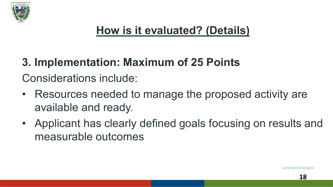

#### **3. Implementation: Maximum of 25 Points** Considerations include:

- Resources needed to manage the proposed activity are available and ready.
- Applicant has clearly defined goals focusing on results and measurable outcomes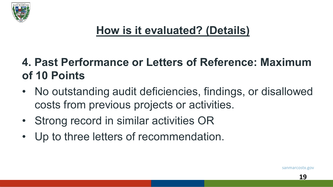

#### **4. Past Performance or Letters of Reference: Maximum of 10 Points**

- No outstanding audit deficiencies, findings, or disallowed costs from previous projects or activities.
- Strong record in similar activities OR
- Up to three letters of recommendation.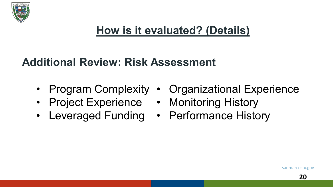

#### **Additional Review: Risk Assessment**

- 
- Project Experience Monitoring History
- Leveraged Funding Performance History
- Program Complexity Organizational Experience
	-
	-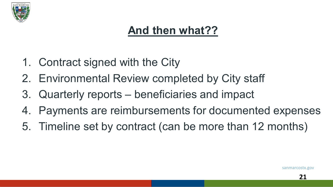

#### **And then what??**

- 1. Contract signed with the City
- 2. Environmental Review completed by City staff
- 3. Quarterly reports beneficiaries and impact
- 4. Payments are reimbursements for documented expenses
- 5. Timeline set by contract (can be more than 12 months)